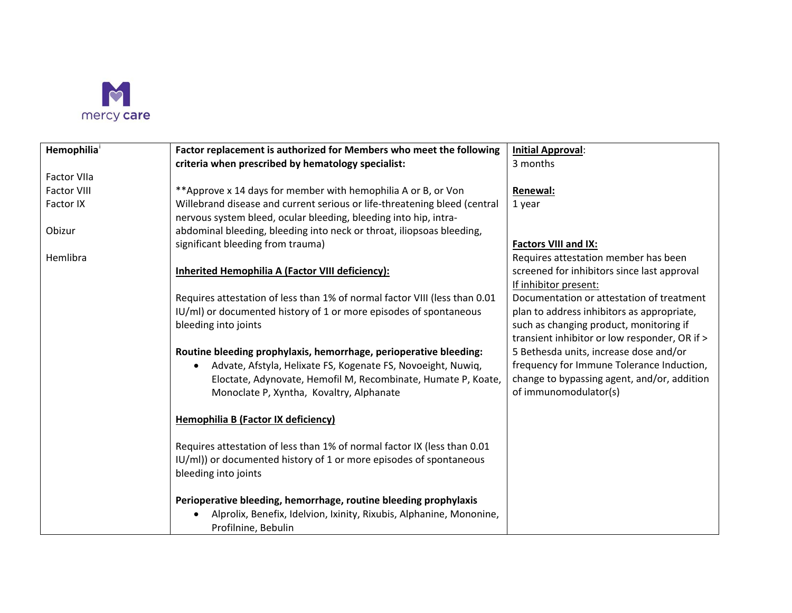

| Hemophilia         | Factor replacement is authorized for Members who meet the following                        | <b>Initial Approval:</b>                      |
|--------------------|--------------------------------------------------------------------------------------------|-----------------------------------------------|
|                    | criteria when prescribed by hematology specialist:                                         | 3 months                                      |
| <b>Factor VIIa</b> |                                                                                            |                                               |
| <b>Factor VIII</b> | ** Approve x 14 days for member with hemophilia A or B, or Von                             | Renewal:                                      |
| Factor IX          | Willebrand disease and current serious or life-threatening bleed (central                  | 1 year                                        |
|                    | nervous system bleed, ocular bleeding, bleeding into hip, intra-                           |                                               |
| Obizur             | abdominal bleeding, bleeding into neck or throat, iliopsoas bleeding,                      |                                               |
|                    | significant bleeding from trauma)                                                          | <b>Factors VIII and IX:</b>                   |
| Hemlibra           |                                                                                            | Requires attestation member has been          |
|                    | Inherited Hemophilia A (Factor VIII deficiency):                                           | screened for inhibitors since last approval   |
|                    |                                                                                            | If inhibitor present:                         |
|                    | Requires attestation of less than 1% of normal factor VIII (less than 0.01                 | Documentation or attestation of treatment     |
|                    | IU/ml) or documented history of 1 or more episodes of spontaneous                          | plan to address inhibitors as appropriate,    |
|                    | bleeding into joints                                                                       | such as changing product, monitoring if       |
|                    |                                                                                            | transient inhibitor or low responder, OR if > |
|                    | Routine bleeding prophylaxis, hemorrhage, perioperative bleeding:                          | 5 Bethesda units, increase dose and/or        |
|                    | Advate, Afstyla, Helixate FS, Kogenate FS, Novoeight, Nuwiq,                               | frequency for Immune Tolerance Induction,     |
|                    | Eloctate, Adynovate, Hemofil M, Recombinate, Humate P, Koate,                              | change to bypassing agent, and/or, addition   |
|                    | Monoclate P, Xyntha, Kovaltry, Alphanate                                                   | of immunomodulator(s)                         |
|                    | <b>Hemophilia B (Factor IX deficiency)</b>                                                 |                                               |
|                    |                                                                                            |                                               |
|                    | Requires attestation of less than 1% of normal factor IX (less than 0.01                   |                                               |
|                    | IU/ml)) or documented history of 1 or more episodes of spontaneous                         |                                               |
|                    | bleeding into joints                                                                       |                                               |
|                    | Perioperative bleeding, hemorrhage, routine bleeding prophylaxis                           |                                               |
|                    | Alprolix, Benefix, Idelvion, Ixinity, Rixubis, Alphanine, Mononine,<br>Profilnine, Bebulin |                                               |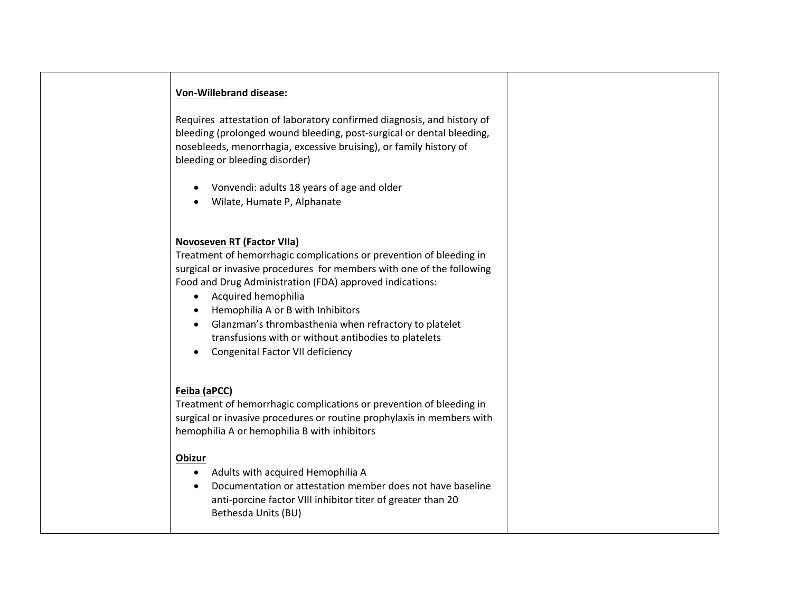# **Von-Willebrand disease:**

 Requires attestation of laboratory confirmed diagnosis, and history of bleeding (prolonged wound bleeding, post-surgical or dental bleeding, nosebleeds, menorrhagia, excessive bruising), or family history of bleeding or bleeding disorder)

- Vonvendi: adults 18 years of age and older
- Wilate, Humate P, Alphanate

### **Novoseven RT (Factor VIIa)**

Treatment of hemorrhagic complications or prevention of bleeding in surgical or invasive procedures for members with one of the following Food and Drug Administration (FDA) approved indications:

- Acquired hemophilia
- Hemophilia A or B with Inhibitors
- • Glanzman's thrombasthenia when refractory to platelet transfusions with or without antibodies to platelets
- Congenital Factor VII deficiency

## **Feiba (aPCC)**

Treatment of hemorrhagic complications or prevention of bleeding in surgical or invasive procedures or routine prophylaxis in members with hemophilia A or hemophilia B with inhibitors

#### **Obizur**

- Adults with acquired Hemophilia A
- • Documentation or attestation member does not have baseline anti-porcine factor VIII inhibitor titer of greater than 20 Bethesda Units (BU)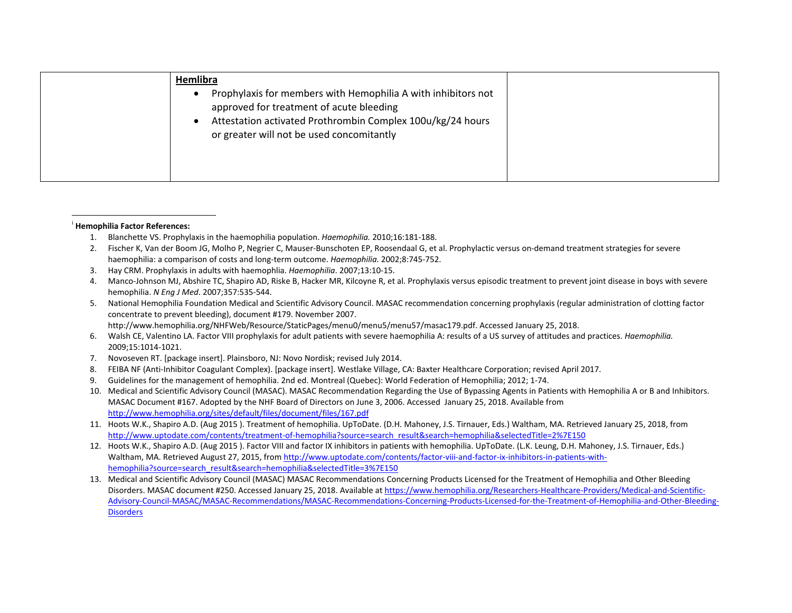<span id="page-2-0"></span>

|          | Hemlibra                                                                                                                                                                                                                                                                                                                                                                              |  |
|----------|---------------------------------------------------------------------------------------------------------------------------------------------------------------------------------------------------------------------------------------------------------------------------------------------------------------------------------------------------------------------------------------|--|
|          | Prophylaxis for members with Hemophilia A with inhibitors not<br>approved for treatment of acute bleeding                                                                                                                                                                                                                                                                             |  |
|          | Attestation activated Prothrombin Complex 100u/kg/24 hours<br>or greater will not be used concomitantly                                                                                                                                                                                                                                                                               |  |
|          |                                                                                                                                                                                                                                                                                                                                                                                       |  |
| 1.<br>2. | <b>Hemophilia Factor References:</b><br>Blanchette VS. Prophylaxis in the haemophilia population. Haemophilia. 2010;16:181-188.<br>Fischer K, Van der Boom JG, Molho P, Negrier C, Mauser-Bunschoten EP, Roosendaal G, et al. Prophylactic versus on-demand treatment strategies for severe<br>haemophilia: a comparison of costs and long-term outcome. Haemophilia. 2002;8:745-752. |  |
| 3.       | Hay CRM. Prophylaxis in adults with haemophlia. Haemophilia. 2007;13:10-15.                                                                                                                                                                                                                                                                                                           |  |
| 4.       | Manco-Johnson MJ, Abshire TC, Shapiro AD, Riske B, Hacker MR, Kilcoyne R, et al. Prophylaxis versus episodic treatment to prevent joint disease in boys with severe<br>hemophilia. N Eng J Med. 2007;357:535-544.                                                                                                                                                                     |  |
| 5.       | National Hemophilia Foundation Medical and Scientific Advisory Council. MASAC recommendation concerning prophylaxis (regular administration of clotting factor<br>concentrate to prevent bleeding), document #179. November 2007.                                                                                                                                                     |  |
|          | http://www.hemophilia.org/NHFWeb/Resource/StaticPages/menu0/menu5/menu57/masac179.pdf. Accessed January 25, 2018.                                                                                                                                                                                                                                                                     |  |
| 6.       | Walsh CE, Valentino LA. Factor VIII prophylaxis for adult patients with severe haemophilia A: results of a US survey of attitudes and practices. Haemophilia.<br>2009;15:1014-1021.                                                                                                                                                                                                   |  |

#### <sup>i</sup>**Hemophilia Factor References:**

- 1. Blanchette VS. Prophylaxis in the haemophilia population. Haemophilia. 2010;16:181-188.
- haemophilia: a comparison of costs and long-term outcome. *Haemophilia.* 2002;8:745-752. 1. Blanchette VS. Prophylaxis in the haemophilia population. *Haemophilia.* 2010;16:181-188.<br>2. Fischer K, Van der Boom JG, Molho P, Negrier C, Mauser-Bunschoten EP, Roosendaal G, et al. Prophylactic versus on-demand treat
- 3. Hay CRM. Prophylaxis in adults with haemophlia. Haemophilia. 2007;13:10-15.
- hemophilia. N Eng J Med. 2007;357:535-544. 3. Hay CRM. Prophylaxis in adults with haemophlia. *Haemophilia*. 2007;13:10-15.<br>4. Manco-Johnson MJ, Abshire TC, Shapiro AD, Riske B, Hacker MR, Kilcoyne R, et al. Prophylaxis versus episodic treatment to prevent
- xis versus episodic treatment to prevent joint disease in boys wit<br>Indation concerning prophylaxis (regular administration of clottin<br>Interaction ac179.pdf. Accessed January 25, 2018.<br>Interactions. Haemophilia. 5. National Hemophilia Foundation Medical and Scientific Advisory Council. MASAC recommendation concerning prophylaxis (regular administration of clotting factor concentrate to prevent bleeding), document #179. November 2007. http://www.hemophilia.org/NHFWeb/Resource/StaticPages/menu0/menu5/menu57/masac179.pdf. Accessed January 25, 2018.
- 2009;15:1014-1021. 6. Walsh CE, Valentino LA. Factor VIII prophylaxis for adult patients with severe haemophilia A: results of a US survey of attitudes and practices. *Haemophilia.*
- 7. Novoseven RT. [package insert]. Plainsboro, NJ: Novo Nordisk; revised July 2014.
- 8. FEIBA NF (Anti-Inhibitor Coagulant Complex). [package insert]. Westlake Village, CA: Baxter Healthcare Corporation; revised April 2017.
- 9. Guidelines for the management of hemophilia. 2nd ed. Montreal (Quebec): World Federation of Hemophilia; 2012; 1-74.
- 10. Medical and Scientific Advisory Council (MASAC). MASAC Recommendation Regarding the Use of Bypassing Agents in Patients with Hemophilia A or B and Inhibitors. MASAC Document #167. Adopted by the NHF Board of Directors on June 3, 2006. Accessed January 25, 2018. Available from <http://www.hemophilia.org/sites/default/files/document/files/167.pdf>
- 11. Hoots W.K., Shapiro A.D. (Aug 2015 ). Treatment of hemophilia. UpToDate. (D.H. Mahoney, J.S. Tirnauer, Eds.) Waltham, MA. Retrieved January 25, 2018, from [http://www.uptodate.com/contents/treatment-of-hemophilia?source=search\\_result&search=hemophilia&selectedTitle=2%7E150](http://www.uptodate.com/contents/treatment-of-hemophilia?source=search_result&search=hemophilia&selectedTitle=2%7E150)
- 12. Hoots W.K., Shapiro A.D. (Aug 2015 ). Factor VIII and factor IX inhibitors in patients with hemophilia. UpToDate. (L.K. Leung, D.H. Mahoney, J.S. Tirnauer, Eds.) Waltham, MA. Retrieved August 27, 2015, fro[m http://www.uptodate.com/contents/factor-viii-and-factor-ix-inhibitors-in-patients-with](http://www.uptodate.com/contents/factor-viii-and-factor-ix-inhibitors-in-patients-with-hemophilia?source=search_result&search=hemophilia&selectedTitle=3%7E150)[hemophilia?source=search\\_result&search=hemophilia&selectedTitle=3%7E150](http://www.uptodate.com/contents/factor-viii-and-factor-ix-inhibitors-in-patients-with-hemophilia?source=search_result&search=hemophilia&selectedTitle=3%7E150)
- 13. Medical and Scientific Advisory Council (MASAC) MASAC Recommendations Concerning Products Licensed for the Treatment of Hemophilia and Other Bleeding Disorders. MASAC document #250. Accessed January 25, 2018. Available a[t https://www.hemophilia.org/Researchers-Healthcare-Providers/Medical-and-Scientific-](https://www.hemophilia.org/Researchers-Healthcare-Providers/Medical-and-Scientific-Advisory-Council-MASAC/MASAC-Recommendations/MASAC-Recommendations-Concerning-Products-Licensed-for-the-Treatment-of-Hemophilia-and-Other-Bleeding-Disorders)[Advisory-Council-MASAC/MASAC-Recommendations/MASAC-Recommendations-Concerning-Products-Licensed-for-the-Treatment-of-Hemophilia-and-Other-Bleeding-](https://www.hemophilia.org/Researchers-Healthcare-Providers/Medical-and-Scientific-Advisory-Council-MASAC/MASAC-Recommendations/MASAC-Recommendations-Concerning-Products-Licensed-for-the-Treatment-of-Hemophilia-and-Other-Bleeding-Disorders)**Disorders**